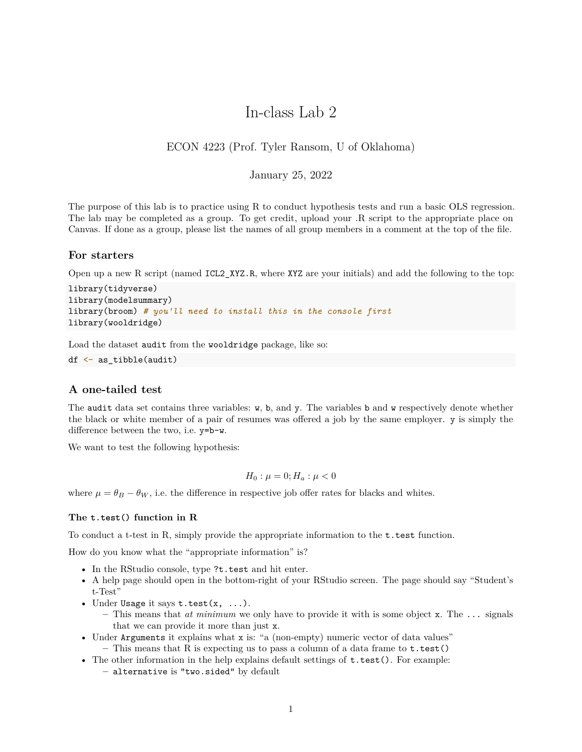# In-class Lab 2

## ECON 4223 (Prof. Tyler Ransom, U of Oklahoma)

## January 25, 2022

The purpose of this lab is to practice using R to conduct hypothesis tests and run a basic OLS regression. The lab may be completed as a group. To get credit, upload your .R script to the appropriate place on Canvas. If done as a group, please list the names of all group members in a comment at the top of the file.

#### **For starters**

Open up a new R script (named ICL2\_XYZ.R, where XYZ are your initials) and add the following to the top:

```
library(tidyverse)
library(modelsummary)
library(broom) # you'll need to install this in the console first
library(wooldridge)
```
Load the dataset audit from the wooldridge package, like so:

```
df <- as_tibble(audit)
```
### **A one-tailed test**

The audit data set contains three variables: w, b, and y. The variables b and w respectively denote whether the black or white member of a pair of resumes was offered a job by the same employer. y is simply the difference between the two, i.e. y=b-w.

We want to test the following hypothesis:

$$
H_0: \mu=0; H_a: \mu<0
$$

where  $\mu = \theta_B - \theta_W$ , i.e. the difference in respective job offer rates for blacks and whites.

#### **The t.test() function in R**

To conduct a t-test in R, simply provide the appropriate information to the t.test function.

How do you know what the "appropriate information" is?

- In the RStudio console, type ?t.test and hit enter.
- A help page should open in the bottom-right of your RStudio screen. The page should say "Student's t-Test"
- Under Usage it says  $t.test(x, \ldots)$ .
	- **–** This means that *at minimum* we only have to provide it with is some object x. The ... signals that we can provide it more than just x.
- Under Arguments it explains what x is: "a (non-empty) numeric vector of data values"
	- **–** This means that R is expecting us to pass a column of a data frame to t.test()
- The other information in the help explains default settings of  $t.test()$ . For example:
	- **–** alternative is "two.sided" by default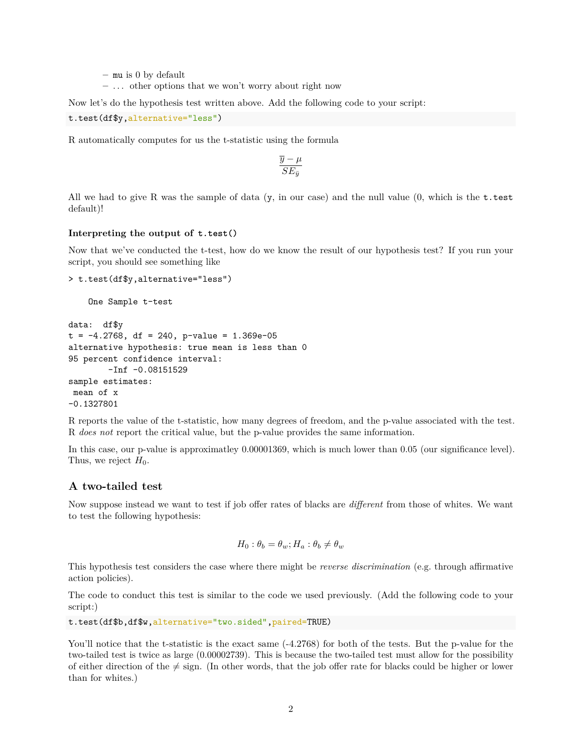- **–** mu is 0 by default
- **–** . . . other options that we won't worry about right now

Now let's do the hypothesis test written above. Add the following code to your script:

```
t.test(df$y,alternative="less")
```
R automatically computes for us the t-statistic using the formula

$$
\frac{\overline{y} - \mu}{SE_{\bar{y}}}
$$

All we had to give R was the sample of data  $(y, \text{ in our case})$  and the null value  $(0, \text{ which is the t-test})$ default)!

#### **Interpreting the output of t.test()**

Now that we've conducted the t-test, how do we know the result of our hypothesis test? If you run your script, you should see something like

```
> t.test(df$y,alternative="less")
```
One Sample t-test

```
data: df$y
t = -4.2768, df = 240, p-value = 1.369e-05
alternative hypothesis: true mean is less than 0
95 percent confidence interval:
        -Inf -0.08151529
sample estimates:
mean of x
-0.1327801
```
R reports the value of the t-statistic, how many degrees of freedom, and the p-value associated with the test. R *does not* report the critical value, but the p-value provides the same information.

In this case, our p-value is approximatley 0.00001369, which is much lower than 0.05 (our significance level). Thus, we reject  $H_0$ .

## **A two-tailed test**

Now suppose instead we want to test if job offer rates of blacks are *different* from those of whites. We want to test the following hypothesis:

$$
H_0: \theta_b = \theta_w; H_a: \theta_b \neq \theta_w
$$

This hypothesis test considers the case where there might be *reverse discrimination* (e.g. through affirmative action policies).

The code to conduct this test is similar to the code we used previously. (Add the following code to your script:)

t.test(df\$b,df\$w,alternative="two.sided",paired=TRUE)

You'll notice that the t-statistic is the exact same  $(-4.2768)$  for both of the tests. But the p-value for the two-tailed test is twice as large (0.00002739). This is because the two-tailed test must allow for the possibility of either direction of the  $\neq$  sign. (In other words, that the job offer rate for blacks could be higher or lower than for whites.)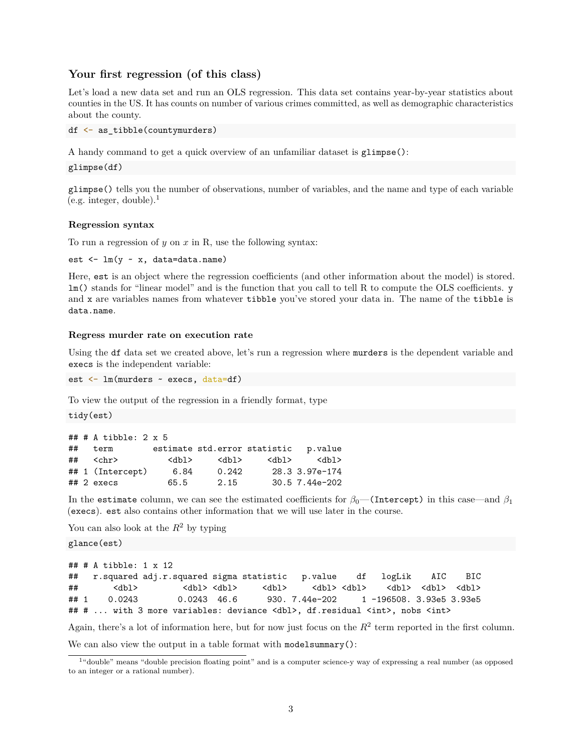## **Your first regression (of this class)**

Let's load a new data set and run an OLS regression. This data set contains year-by-year statistics about counties in the US. It has counts on number of various crimes committed, as well as demographic characteristics about the county.

```
df <- as_tibble(countymurders)
```
A handy command to get a quick overview of an unfamiliar dataset is glimpse():

```
glimpse(df)
```
glimpse() tells you the number of observations, number of variables, and the name and type of each variable  $(e.g. integer, double).<sup>1</sup>$  $(e.g. integer, double).<sup>1</sup>$  $(e.g. integer, double).<sup>1</sup>$ 

#### **Regression syntax**

To run a regression of *y* on *x* in R, use the following syntax:

```
est <- lm(y ~ x, data=data.name)
```
Here, est is an object where the regression coefficients (and other information about the model) is stored. lm() stands for "linear model" and is the function that you call to tell R to compute the OLS coefficients. y and x are variables names from whatever tibble you've stored your data in. The name of the tibble is data.name.

#### **Regress murder rate on execution rate**

Using the df data set we created above, let's run a regression where murders is the dependent variable and execs is the independent variable:

est <- lm(murders ~ execs, data=df)

To view the output of the regression in a friendly format, type

tidy(est)

|    | $\#$ # # A tibble: 2 x 5 |             |                              |             |                |
|----|--------------------------|-------------|------------------------------|-------------|----------------|
| ## | term                     |             | estimate std.error statistic |             | p.value        |
| ## | $<$ chr $>$              | <dbl></dbl> | $<$ dbl $>$                  | $<$ dbl $>$ | db1>           |
|    | ## 1 (Intercept)         | 6.84        | 0.242                        |             | 28.3 3.97e-174 |
|    | $## 2$ execs             | 65.5        | 2.15                         |             | 30.5 7.44e-202 |

In the estimate column, we can see the estimated coefficients for  $\beta_0$ —(Intercept) in this case—and  $\beta_1$ (execs). est also contains other information that we will use later in the course.

You can also look at the  $R^2$  by typing

glance(est)

```
## # A tibble: 1 x 12
## r.squared adj.r.squared sigma statistic p.value df logLik AIC BIC
## <dbl> <dbl> <dbl> <dbl> <dbl> <dbl> <dbl> <dbl> <dbl>
## 1 0.0243 0.0243 46.6 930. 7.44e-202 1 -196508. 3.93e5 3.93e5
## # ... with 3 more variables: deviance <dbl>, df.residual <int>, nobs <int>
Again, there's a lot of information here, but for now just focus on the R<sup>2</sup> term reported in the first column.
```
We can also view the output in a table format with modelsummary():

<span id="page-2-0"></span><sup>1</sup>"double" means "double precision floating point" and is a computer science-y way of expressing a real number (as opposed to an integer or a rational number).